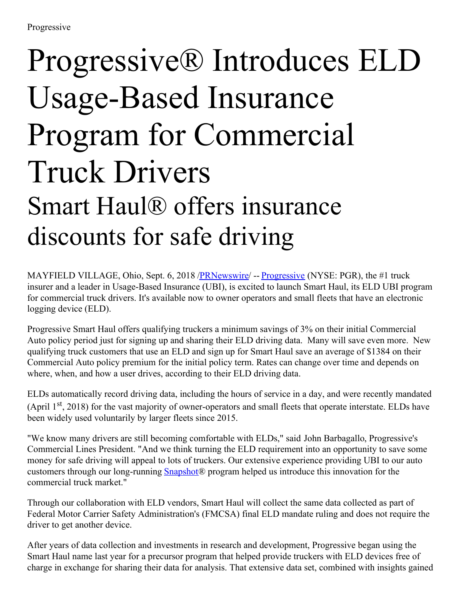## Progressive® Introduces ELD Usage-Based Insurance Program for Commercial Truck Drivers Smart Haul® offers insurance discounts for safe driving

MAYFIELD VILLAGE, Ohio, Sept. 6, 2018 *[/PRNewswire](http://www.prnewswire.com/)* -- *[Progressive](https://www.progressivecommercial.com/)* (NYSE: PGR), the #1 truck insurer and a leader in Usage-Based Insurance (UBI), is excited to launch Smart Haul, its ELD UBI program for commercial truck drivers. It's available now to owner operators and small fleets that have an electronic logging device (ELD).

Progressive Smart Haul offers qualifying truckers a minimum savings of 3% on their initial Commercial Auto policy period just for signing up and sharing their ELD driving data. Many will save even more. New qualifying truck customers that use an ELD and sign up for Smart Haul save an average of \$1384 on their Commercial Auto policy premium for the initial policy term. Rates can change over time and depends on where, when, and how a user drives, according to their ELD driving data.

ELDs automatically record driving data, including the hours of service in a day, and were recently mandated (April 1<sup>st</sup>, 2018) for the vast majority of owner-operators and small fleets that operate interstate. ELDs have been widely used voluntarily by larger fleets since 2015.

"We know many drivers are still becoming comfortable with ELDs," said John Barbagallo, Progressive's Commercial Lines President. "And we think turning the ELD requirement into an opportunity to save some money for safe driving will appeal to lots of truckers. Our extensive experience providing UBI to our auto customers through our long-running [Snapshot®](https://www.progressive.com/auto/discounts/snapshot/) program helped us introduce this innovation for the commercial truck market."

Through our collaboration with ELD vendors, Smart Haul will collect the same data collected as part of Federal Motor Carrier Safety Administration's (FMCSA) final ELD mandate ruling and does not require the driver to get another device.

After years of data collection and investments in research and development, Progressive began using the Smart Haul name last year for a precursor program that helped provide truckers with ELD devices free of charge in exchange for sharing their data for analysis. That extensive data set, combined with insights gained